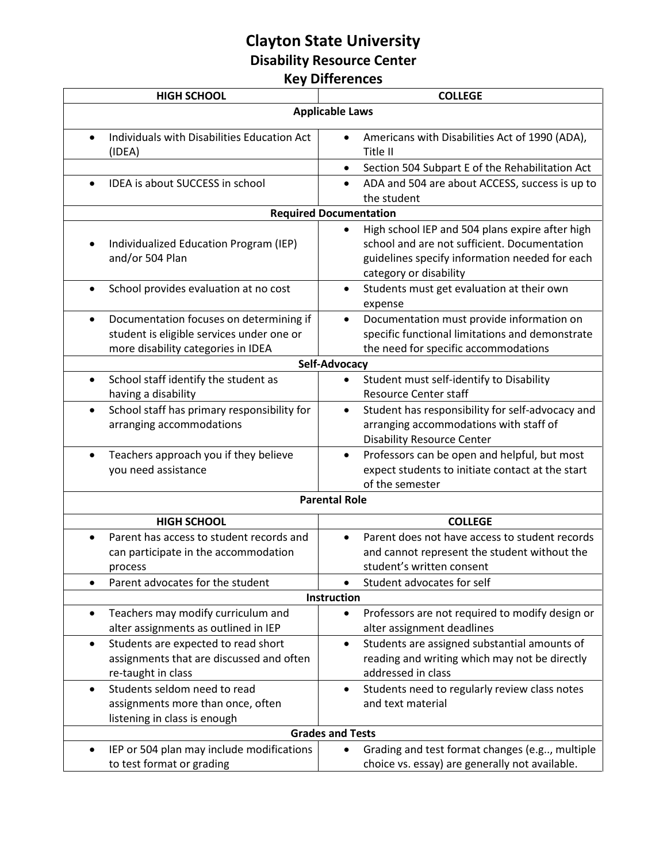## **Clayton State University Disability Resource Center Key Differences**

| <b>HIGH SCHOOL</b>                                                                                                                                               | <b>COLLEGE</b>                                                                                                                                                                      |  |
|------------------------------------------------------------------------------------------------------------------------------------------------------------------|-------------------------------------------------------------------------------------------------------------------------------------------------------------------------------------|--|
| <b>Applicable Laws</b>                                                                                                                                           |                                                                                                                                                                                     |  |
| Individuals with Disabilities Education Act<br>(IDEA)                                                                                                            | Americans with Disabilities Act of 1990 (ADA),<br>$\bullet$<br>Title II                                                                                                             |  |
|                                                                                                                                                                  | Section 504 Subpart E of the Rehabilitation Act<br>٠                                                                                                                                |  |
| IDEA is about SUCCESS in school                                                                                                                                  | ADA and 504 are about ACCESS, success is up to<br>$\bullet$<br>the student                                                                                                          |  |
| <b>Required Documentation</b>                                                                                                                                    |                                                                                                                                                                                     |  |
| Individualized Education Program (IEP)<br>and/or 504 Plan                                                                                                        | High school IEP and 504 plans expire after high<br>school and are not sufficient. Documentation<br>guidelines specify information needed for each<br>category or disability         |  |
| School provides evaluation at no cost<br>$\bullet$                                                                                                               | Students must get evaluation at their own<br>expense                                                                                                                                |  |
| Documentation focuses on determining if<br>$\bullet$<br>student is eligible services under one or<br>more disability categories in IDEA                          | Documentation must provide information on<br>$\bullet$<br>specific functional limitations and demonstrate<br>the need for specific accommodations                                   |  |
| Self-Advocacy                                                                                                                                                    |                                                                                                                                                                                     |  |
| School staff identify the student as<br>$\bullet$<br>having a disability<br>School staff has primary responsibility for<br>$\bullet$<br>arranging accommodations | Student must self-identify to Disability<br><b>Resource Center staff</b><br>Student has responsibility for self-advocacy and<br>$\bullet$<br>arranging accommodations with staff of |  |
|                                                                                                                                                                  | <b>Disability Resource Center</b>                                                                                                                                                   |  |
| Teachers approach you if they believe<br>$\bullet$<br>you need assistance                                                                                        | Professors can be open and helpful, but most<br>$\bullet$<br>expect students to initiate contact at the start<br>of the semester                                                    |  |
| <b>Parental Role</b>                                                                                                                                             |                                                                                                                                                                                     |  |
| <b>HIGH SCHOOL</b>                                                                                                                                               | <b>COLLEGE</b>                                                                                                                                                                      |  |
| Parent has access to student records and<br>$\bullet$<br>can participate in the accommodation<br>process<br>Parent advocates for the student                     | Parent does not have access to student records<br>and cannot represent the student without the<br>student's written consent<br>Student advocates for self                           |  |
| Instruction                                                                                                                                                      |                                                                                                                                                                                     |  |
| Teachers may modify curriculum and<br>alter assignments as outlined in IEP                                                                                       | Professors are not required to modify design or<br>alter assignment deadlines                                                                                                       |  |
| Students are expected to read short<br>٠<br>assignments that are discussed and often<br>re-taught in class                                                       | Students are assigned substantial amounts of<br>$\bullet$<br>reading and writing which may not be directly<br>addressed in class                                                    |  |
| Students seldom need to read<br>$\bullet$<br>assignments more than once, often<br>listening in class is enough                                                   | Students need to regularly review class notes<br>and text material                                                                                                                  |  |
| <b>Grades and Tests</b>                                                                                                                                          |                                                                                                                                                                                     |  |
| IEP or 504 plan may include modifications<br>to test format or grading                                                                                           | Grading and test format changes (e.g, multiple<br>choice vs. essay) are generally not available.                                                                                    |  |